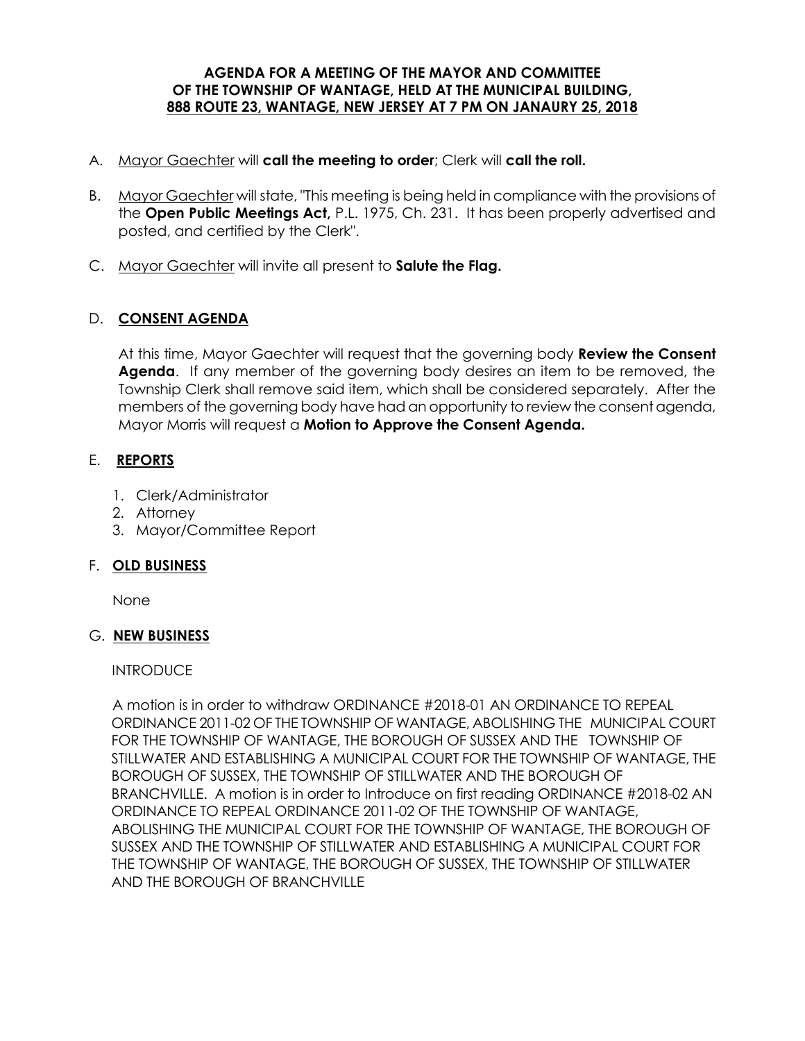#### **AGENDA FOR A MEETING OF THE MAYOR AND COMMITTEE OF THE TOWNSHIP OF WANTAGE, HELD AT THE MUNICIPAL BUILDING, 888 ROUTE 23, WANTAGE, NEW JERSEY AT 7 PM ON JANAURY 25, 2018**

- A. Mayor Gaechter will **call the meeting to order**; Clerk will **call the roll.**
- B. Mayor Gaechter will state, "This meeting is being held in compliance with the provisions of the **Open Public Meetings Act,** P.L. 1975, Ch. 231. It has been properly advertised and posted, and certified by the Clerk".
- C. Mayor Gaechter will invite all present to **Salute the Flag.**

## D. **CONSENT AGENDA**

At this time, Mayor Gaechter will request that the governing body **Review the Consent Agenda**. If any member of the governing body desires an item to be removed, the Township Clerk shall remove said item, which shall be considered separately. After the members of the governing body have had an opportunity to review the consent agenda, Mayor Morris will request a **Motion to Approve the Consent Agenda.** 

### E. **REPORTS**

- 1. Clerk/Administrator
- 2. Attorney
- 3. Mayor/Committee Report

### F. **OLD BUSINESS**

None

### G. **NEW BUSINESS**

### **INTRODUCE**

 A motion is in order to withdraw ORDINANCE #2018-01 AN ORDINANCE TO REPEAL ORDINANCE 2011-02 OF THE TOWNSHIP OF WANTAGE, ABOLISHING THE MUNICIPAL COURT FOR THE TOWNSHIP OF WANTAGE, THE BOROUGH OF SUSSEX AND THE TOWNSHIP OF STILLWATER AND ESTABLISHING A MUNICIPAL COURT FOR THE TOWNSHIP OF WANTAGE, THE BOROUGH OF SUSSEX, THE TOWNSHIP OF STILLWATER AND THE BOROUGH OF BRANCHVILLE. A motion is in order to Introduce on first reading ORDINANCE #2018-02 AN ORDINANCE TO REPEAL ORDINANCE 2011-02 OF THE TOWNSHIP OF WANTAGE, ABOLISHING THE MUNICIPAL COURT FOR THE TOWNSHIP OF WANTAGE, THE BOROUGH OF SUSSEX AND THE TOWNSHIP OF STILLWATER AND ESTABLISHING A MUNICIPAL COURT FOR THE TOWNSHIP OF WANTAGE, THE BOROUGH OF SUSSEX, THE TOWNSHIP OF STILLWATER AND THE BOROUGH OF BRANCHVILLE